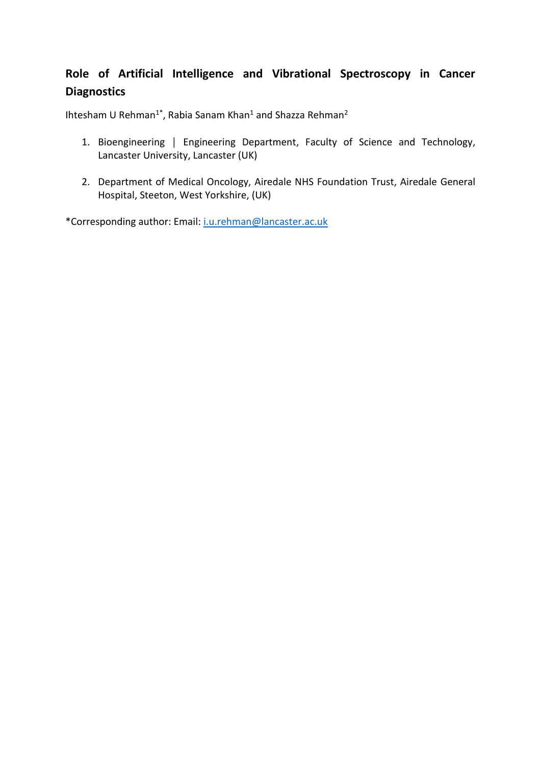# **Role of Artificial Intelligence and Vibrational Spectroscopy in Cancer Diagnostics**

Ihtesham U Rehman<sup>1\*</sup>, Rabia Sanam Khan<sup>1</sup> and Shazza Rehman<sup>2</sup>

- 1. Bioengineering | Engineering Department, Faculty of Science and Technology, Lancaster University, Lancaster (UK)
- 2. Department of Medical Oncology, Airedale NHS Foundation Trust, Airedale General Hospital, Steeton, West Yorkshire, (UK)

\*Corresponding author: Email: [i.u.rehman@lancaster.ac.uk](mailto:i.u.rehman@lancaster.ac.uk)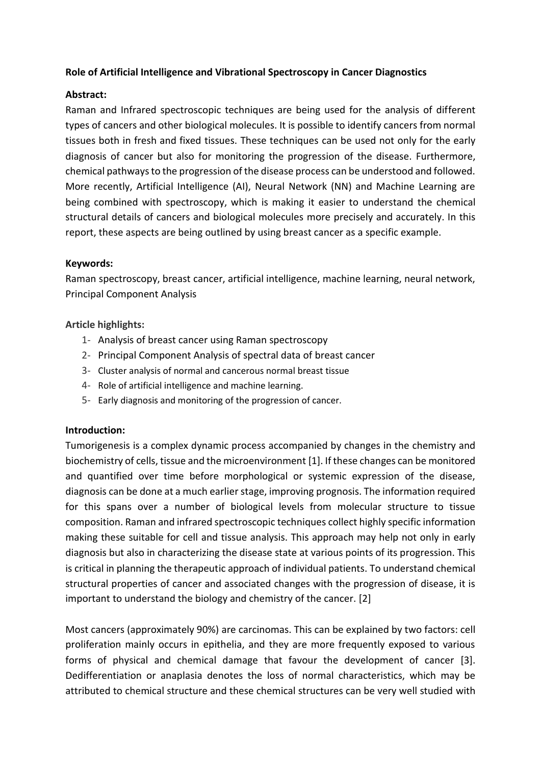### **Role of Artificial Intelligence and Vibrational Spectroscopy in Cancer Diagnostics**

### **Abstract:**

Raman and Infrared spectroscopic techniques are being used for the analysis of different types of cancers and other biological molecules. It is possible to identify cancers from normal tissues both in fresh and fixed tissues. These techniques can be used not only for the early diagnosis of cancer but also for monitoring the progression of the disease. Furthermore, chemical pathwaysto the progression of the disease process can be understood and followed. More recently, Artificial Intelligence (AI), Neural Network (NN) and Machine Learning are being combined with spectroscopy, which is making it easier to understand the chemical structural details of cancers and biological molecules more precisely and accurately. In this report, these aspects are being outlined by using breast cancer as a specific example.

### **Keywords:**

Raman spectroscopy, breast cancer, artificial intelligence, machine learning, neural network, Principal Component Analysis

### **Article highlights:**

- 1- Analysis of breast cancer using Raman spectroscopy
- 2- Principal Component Analysis of spectral data of breast cancer
- 3- Cluster analysis of normal and cancerous normal breast tissue
- 4- Role of artificial intelligence and machine learning.
- 5- Early diagnosis and monitoring of the progression of cancer.

### **Introduction:**

Tumorigenesis is a complex dynamic process accompanied by changes in the chemistry and biochemistry of cells, tissue and the microenvironment [1]. If these changes can be monitored and quantified over time before morphological or systemic expression of the disease, diagnosis can be done at a much earlier stage, improving prognosis. The information required for this spans over a number of biological levels from molecular structure to tissue composition. Raman and infrared spectroscopic techniques collect highly specific information making these suitable for cell and tissue analysis. This approach may help not only in early diagnosis but also in characterizing the disease state at various points of its progression. This is critical in planning the therapeutic approach of individual patients. To understand chemical structural properties of cancer and associated changes with the progression of disease, it is important to understand the biology and chemistry of the cancer. [2]

Most cancers (approximately 90%) are carcinomas. This can be explained by two factors: cell proliferation mainly occurs in epithelia, and they are more frequently exposed to various forms of physical and chemical damage that favour the development of cancer [3]. Dedifferentiation or anaplasia denotes the loss of normal characteristics, which may be attributed to chemical structure and these chemical structures can be very well studied with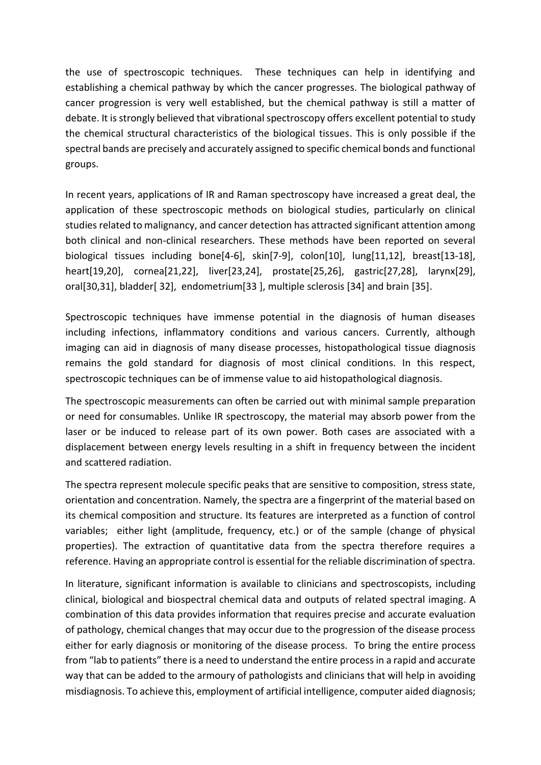the use of spectroscopic techniques. These techniques can help in identifying and establishing a chemical pathway by which the cancer progresses. The biological pathway of cancer progression is very well established, but the chemical pathway is still a matter of debate. It is strongly believed that vibrational spectroscopy offers excellent potential to study the chemical structural characteristics of the biological tissues. This is only possible if the spectral bands are precisely and accurately assigned to specific chemical bonds and functional groups.

In recent years, applications of IR and Raman spectroscopy have increased a great deal, the application of these spectroscopic methods on biological studies, particularly on clinical studies related to malignancy, and cancer detection has attracted significant attention among both clinical and non-clinical researchers. These methods have been reported on several biological tissues including bone[4-6], skin[7-9], colon[10], lung[11,12], breast[13-18], heart[19,20], cornea[21,22], liver[23,24], prostate[25,26], gastric[27,28], larynx[29], oral[30,31], bladder[ 32], endometrium[33 ], multiple sclerosis [34] and brain [35].

Spectroscopic techniques have immense potential in the diagnosis of human diseases including infections, inflammatory conditions and various cancers. Currently, although imaging can aid in diagnosis of many disease processes, histopathological tissue diagnosis remains the gold standard for diagnosis of most clinical conditions. In this respect, spectroscopic techniques can be of immense value to aid histopathological diagnosis.

The spectroscopic measurements can often be carried out with minimal sample preparation or need for consumables. Unlike IR spectroscopy, the material may absorb power from the laser or be induced to release part of its own power. Both cases are associated with a displacement between energy levels resulting in a shift in frequency between the incident and scattered radiation.

The spectra represent molecule specific peaks that are sensitive to composition, stress state, orientation and concentration. Namely, the spectra are a fingerprint of the material based on its chemical composition and structure. Its features are interpreted as a function of control variables; either light (amplitude, frequency, etc.) or of the sample (change of physical properties). The extraction of quantitative data from the spectra therefore requires a reference. Having an appropriate control is essential for the reliable discrimination of spectra.

In literature, significant information is available to clinicians and spectroscopists, including clinical, biological and biospectral chemical data and outputs of related spectral imaging. A combination of this data provides information that requires precise and accurate evaluation of pathology, chemical changes that may occur due to the progression of the disease process either for early diagnosis or monitoring of the disease process. To bring the entire process from "lab to patients" there is a need to understand the entire process in a rapid and accurate way that can be added to the armoury of pathologists and clinicians that will help in avoiding misdiagnosis. To achieve this, employment of artificial intelligence, computer aided diagnosis;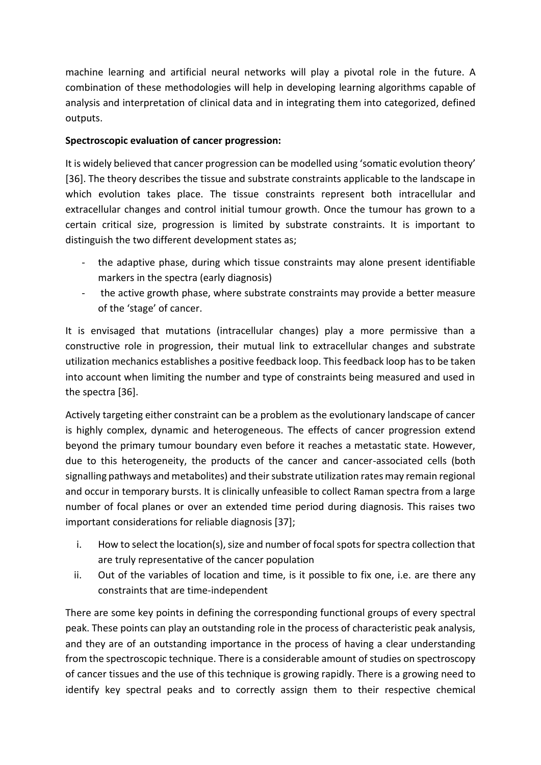machine learning and artificial neural networks will play a pivotal role in the future. A combination of these methodologies will help in developing learning algorithms capable of analysis and interpretation of clinical data and in integrating them into categorized, defined outputs.

## **Spectroscopic evaluation of cancer progression:**

It is widely believed that cancer progression can be modelled using 'somatic evolution theory' [36]. The theory describes the tissue and substrate constraints applicable to the landscape in which evolution takes place. The tissue constraints represent both intracellular and extracellular changes and control initial tumour growth. Once the tumour has grown to a certain critical size, progression is limited by substrate constraints. It is important to distinguish the two different development states as;

- the adaptive phase, during which tissue constraints may alone present identifiable markers in the spectra (early diagnosis)
- the active growth phase, where substrate constraints may provide a better measure of the 'stage' of cancer.

It is envisaged that mutations (intracellular changes) play a more permissive than a constructive role in progression, their mutual link to extracellular changes and substrate utilization mechanics establishes a positive feedback loop. This feedback loop has to be taken into account when limiting the number and type of constraints being measured and used in the spectra [36].

Actively targeting either constraint can be a problem as the evolutionary landscape of cancer is highly complex, dynamic and heterogeneous. The effects of cancer progression extend beyond the primary tumour boundary even before it reaches a metastatic state. However, due to this heterogeneity, the products of the cancer and cancer-associated cells (both signalling pathways and metabolites) and their substrate utilization rates may remain regional and occur in temporary bursts. It is clinically unfeasible to collect Raman spectra from a large number of focal planes or over an extended time period during diagnosis. This raises two important considerations for reliable diagnosis [37];

- i. How to select the location(s), size and number of focal spots for spectra collection that are truly representative of the cancer population
- ii. Out of the variables of location and time, is it possible to fix one, i.e. are there any constraints that are time-independent

There are some key points in defining the corresponding functional groups of every spectral peak. These points can play an outstanding role in the process of characteristic peak analysis, and they are of an outstanding importance in the process of having a clear understanding from the spectroscopic technique. There is a considerable amount of studies on spectroscopy of cancer tissues and the use of this technique is growing rapidly. There is a growing need to identify key spectral peaks and to correctly assign them to their respective chemical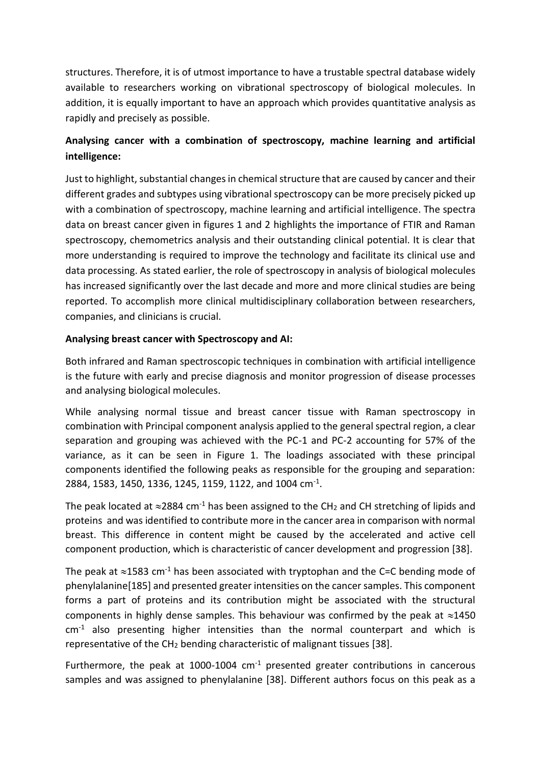structures. Therefore, it is of utmost importance to have a trustable spectral database widely available to researchers working on vibrational spectroscopy of biological molecules. In addition, it is equally important to have an approach which provides quantitative analysis as rapidly and precisely as possible.

# **Analysing cancer with a combination of spectroscopy, machine learning and artificial intelligence:**

Just to highlight, substantial changes in chemical structure that are caused by cancer and their different grades and subtypes using vibrational spectroscopy can be more precisely picked up with a combination of spectroscopy, machine learning and artificial intelligence. The spectra data on breast cancer given in figures 1 and 2 highlights the importance of FTIR and Raman spectroscopy, chemometrics analysis and their outstanding clinical potential. It is clear that more understanding is required to improve the technology and facilitate its clinical use and data processing. As stated earlier, the role of spectroscopy in analysis of biological molecules has increased significantly over the last decade and more and more clinical studies are being reported. To accomplish more clinical multidisciplinary collaboration between researchers, companies, and clinicians is crucial.

### **Analysing breast cancer with Spectroscopy and AI:**

Both infrared and Raman spectroscopic techniques in combination with artificial intelligence is the future with early and precise diagnosis and monitor progression of disease processes and analysing biological molecules.

While analysing normal tissue and breast cancer tissue with Raman spectroscopy in combination with Principal component analysis applied to the general spectral region, a clear separation and grouping was achieved with the PC-1 and PC-2 accounting for 57% of the variance, as it can be seen in Figure 1. The loadings associated with these principal components identified the following peaks as responsible for the grouping and separation: 2884, 1583, 1450, 1336, 1245, 1159, 1122, and 1004 cm<sup>-1</sup>.

The peak located at  $\approx$ 2884 cm<sup>-1</sup> has been assigned to the CH<sub>2</sub> and CH stretching of lipids and proteins and was identified to contribute more in the cancer area in comparison with normal breast. This difference in content might be caused by the accelerated and active cell component production, which is characteristic of cancer development and progression [38].

The peak at  $\approx$ 1583 cm<sup>-1</sup> has been associated with tryptophan and the C=C bending mode of phenylalanine[185] and presented greater intensities on the cancer samples. This component forms a part of proteins and its contribution might be associated with the structural components in highly dense samples. This behaviour was confirmed by the peak at  $\approx$ 1450  $cm<sup>-1</sup>$  also presenting higher intensities than the normal counterpart and which is representative of the  $CH<sub>2</sub>$  bending characteristic of malignant tissues [38].

Furthermore, the peak at 1000-1004  $cm<sup>-1</sup>$  presented greater contributions in cancerous samples and was assigned to phenylalanine [38]. Different authors focus on this peak as a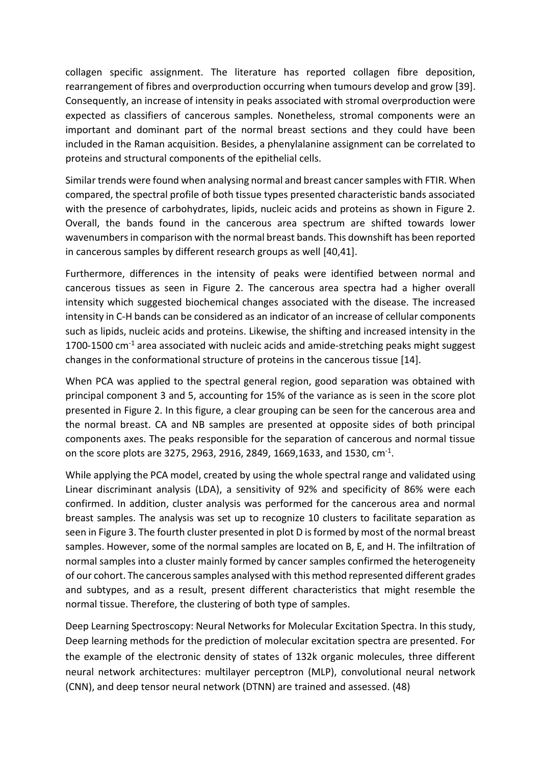collagen specific assignment. The literature has reported collagen fibre deposition, rearrangement of fibres and overproduction occurring when tumours develop and grow [39]. Consequently, an increase of intensity in peaks associated with stromal overproduction were expected as classifiers of cancerous samples. Nonetheless, stromal components were an important and dominant part of the normal breast sections and they could have been included in the Raman acquisition. Besides, a phenylalanine assignment can be correlated to proteins and structural components of the epithelial cells.

Similar trends were found when analysing normal and breast cancer samples with FTIR. When compared, the spectral profile of both tissue types presented characteristic bands associated with the presence of carbohydrates, lipids, nucleic acids and proteins as shown in Figure 2. Overall, the bands found in the cancerous area spectrum are shifted towards lower wavenumbers in comparison with the normal breast bands. This downshift has been reported in cancerous samples by different research groups as well [40,41].

Furthermore, differences in the intensity of peaks were identified between normal and cancerous tissues as seen in Figure 2. The cancerous area spectra had a higher overall intensity which suggested biochemical changes associated with the disease. The increased intensity in C-H bands can be considered as an indicator of an increase of cellular components such as lipids, nucleic acids and proteins. Likewise, the shifting and increased intensity in the 1700-1500  $\text{cm}^{-1}$  area associated with nucleic acids and amide-stretching peaks might suggest changes in the conformational structure of proteins in the cancerous tissue [14].

When PCA was applied to the spectral general region, good separation was obtained with principal component 3 and 5, accounting for 15% of the variance as is seen in the score plot presented in Figure 2. In this figure, a clear grouping can be seen for the cancerous area and the normal breast. CA and NB samples are presented at opposite sides of both principal components axes. The peaks responsible for the separation of cancerous and normal tissue on the score plots are 3275, 2963, 2916, 2849, 1669,1633, and 1530, cm<sup>-1</sup>.

While applying the PCA model, created by using the whole spectral range and validated using Linear discriminant analysis (LDA), a sensitivity of 92% and specificity of 86% were each confirmed. In addition, cluster analysis was performed for the cancerous area and normal breast samples. The analysis was set up to recognize 10 clusters to facilitate separation as seen in Figure 3. The fourth cluster presented in plot D is formed by most of the normal breast samples. However, some of the normal samples are located on B, E, and H. The infiltration of normal samples into a cluster mainly formed by cancer samples confirmed the heterogeneity of our cohort. The cancerous samples analysed with this method represented different grades and subtypes, and as a result, present different characteristics that might resemble the normal tissue. Therefore, the clustering of both type of samples.

Deep Learning Spectroscopy: Neural Networks for Molecular Excitation Spectra. In this study, Deep learning methods for the prediction of molecular excitation spectra are presented. For the example of the electronic density of states of 132k organic molecules, three different neural network architectures: multilayer perceptron (MLP), convolutional neural network (CNN), and deep tensor neural network (DTNN) are trained and assessed. (48)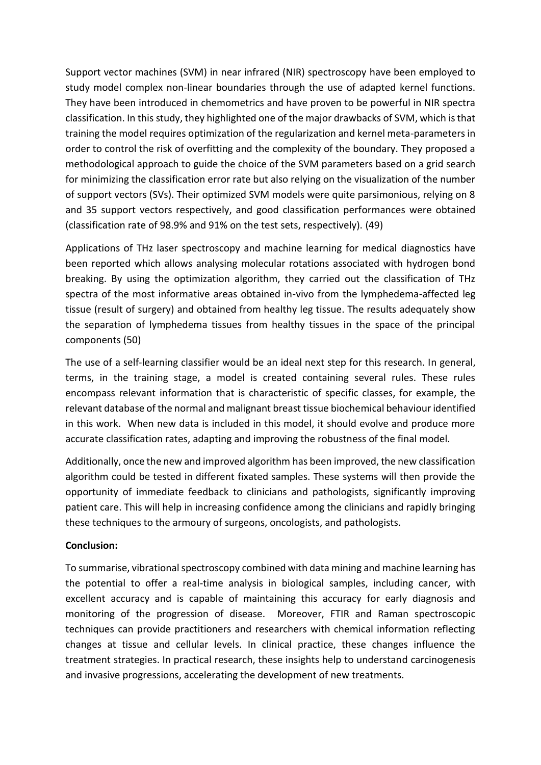Support vector machines (SVM) in near infrared (NIR) spectroscopy have been employed to study model complex non-linear boundaries through the use of adapted kernel functions. They have been introduced in chemometrics and have proven to be powerful in NIR spectra classification. In this study, they highlighted one of the major drawbacks of SVM, which is that training the model requires optimization of the regularization and kernel meta-parameters in order to control the risk of overfitting and the complexity of the boundary. They proposed a methodological approach to guide the choice of the SVM parameters based on a grid search for minimizing the classification error rate but also relying on the visualization of the number of support vectors (SVs). Their optimized SVM models were quite parsimonious, relying on 8 and 35 support vectors respectively, and good classification performances were obtained (classification rate of 98.9% and 91% on the test sets, respectively). (49)

Applications of THz laser spectroscopy and machine learning for medical diagnostics have been reported which allows analysing molecular rotations associated with hydrogen bond breaking. By using the optimization algorithm, they carried out the classification of THz spectra of the most informative areas obtained in-vivo from the lymphedema-affected leg tissue (result of surgery) and obtained from healthy leg tissue. The results adequately show the separation of lymphedema tissues from healthy tissues in the space of the principal components (50)

The use of a self-learning classifier would be an ideal next step for this research. In general, terms, in the training stage, a model is created containing several rules. These rules encompass relevant information that is characteristic of specific classes, for example, the relevant database of the normal and malignant breast tissue biochemical behaviour identified in this work. When new data is included in this model, it should evolve and produce more accurate classification rates, adapting and improving the robustness of the final model.

Additionally, once the new and improved algorithm has been improved, the new classification algorithm could be tested in different fixated samples. These systems will then provide the opportunity of immediate feedback to clinicians and pathologists, significantly improving patient care. This will help in increasing confidence among the clinicians and rapidly bringing these techniques to the armoury of surgeons, oncologists, and pathologists.

### **Conclusion:**

To summarise, vibrational spectroscopy combined with data mining and machine learning has the potential to offer a real-time analysis in biological samples, including cancer, with excellent accuracy and is capable of maintaining this accuracy for early diagnosis and monitoring of the progression of disease. Moreover, FTIR and Raman spectroscopic techniques can provide practitioners and researchers with chemical information reflecting changes at tissue and cellular levels. In clinical practice, these changes influence the treatment strategies. In practical research, these insights help to understand carcinogenesis and invasive progressions, accelerating the development of new treatments.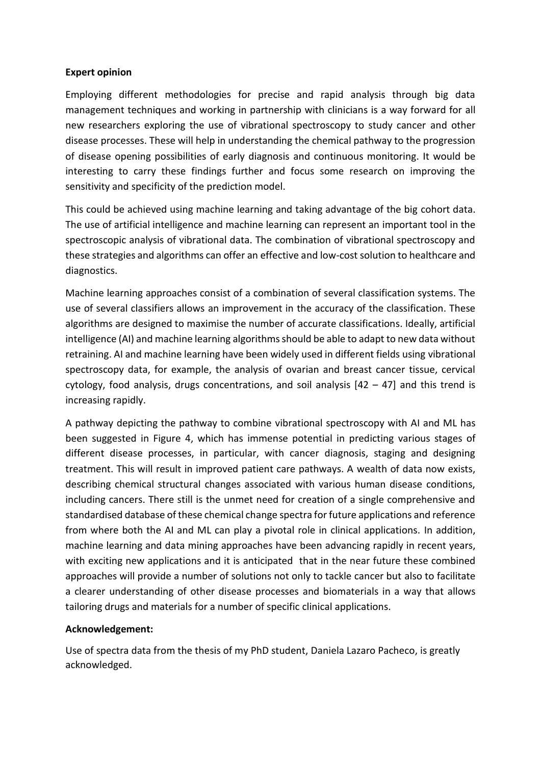### **Expert opinion**

Employing different methodologies for precise and rapid analysis through big data management techniques and working in partnership with clinicians is a way forward for all new researchers exploring the use of vibrational spectroscopy to study cancer and other disease processes. These will help in understanding the chemical pathway to the progression of disease opening possibilities of early diagnosis and continuous monitoring. It would be interesting to carry these findings further and focus some research on improving the sensitivity and specificity of the prediction model.

This could be achieved using machine learning and taking advantage of the big cohort data. The use of artificial intelligence and machine learning can represent an important tool in the spectroscopic analysis of vibrational data. The combination of vibrational spectroscopy and these strategies and algorithms can offer an effective and low-cost solution to healthcare and diagnostics.

Machine learning approaches consist of a combination of several classification systems. The use of several classifiers allows an improvement in the accuracy of the classification. These algorithms are designed to maximise the number of accurate classifications. Ideally, artificial intelligence (AI) and machine learning algorithms should be able to adapt to new data without retraining. AI and machine learning have been widely used in different fields using vibrational spectroscopy data, for example, the analysis of ovarian and breast cancer tissue, cervical cytology, food analysis, drugs concentrations, and soil analysis  $[42 - 47]$  and this trend is increasing rapidly.

A pathway depicting the pathway to combine vibrational spectroscopy with AI and ML has been suggested in Figure 4, which has immense potential in predicting various stages of different disease processes, in particular, with cancer diagnosis, staging and designing treatment. This will result in improved patient care pathways. A wealth of data now exists, describing chemical structural changes associated with various human disease conditions, including cancers. There still is the unmet need for creation of a single comprehensive and standardised database of these chemical change spectra for future applications and reference from where both the AI and ML can play a pivotal role in clinical applications. In addition, machine learning and data mining approaches have been advancing rapidly in recent years, with exciting new applications and it is anticipated that in the near future these combined approaches will provide a number of solutions not only to tackle cancer but also to facilitate a clearer understanding of other disease processes and biomaterials in a way that allows tailoring drugs and materials for a number of specific clinical applications.

### **Acknowledgement:**

Use of spectra data from the thesis of my PhD student, Daniela Lazaro Pacheco, is greatly acknowledged.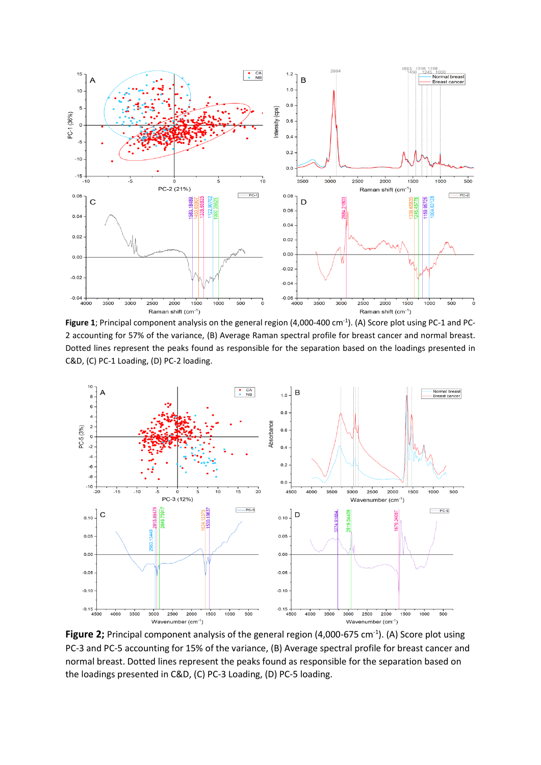

Figure 1; Principal component analysis on the general region (4,000-400 cm<sup>-1</sup>). (A) Score plot using PC-1 and PC-2 accounting for 57% of the variance, (B) Average Raman spectral profile for breast cancer and normal breast. Dotted lines represent the peaks found as responsible for the separation based on the loadings presented in C&D, (C) PC-1 Loading, (D) PC-2 loading.



Figure 2; Principal component analysis of the general region (4,000-675 cm<sup>-1</sup>). (A) Score plot using PC-3 and PC-5 accounting for 15% of the variance, (B) Average spectral profile for breast cancer and normal breast. Dotted lines represent the peaks found as responsible for the separation based on the loadings presented in C&D, (C) PC-3 Loading, (D) PC-5 loading.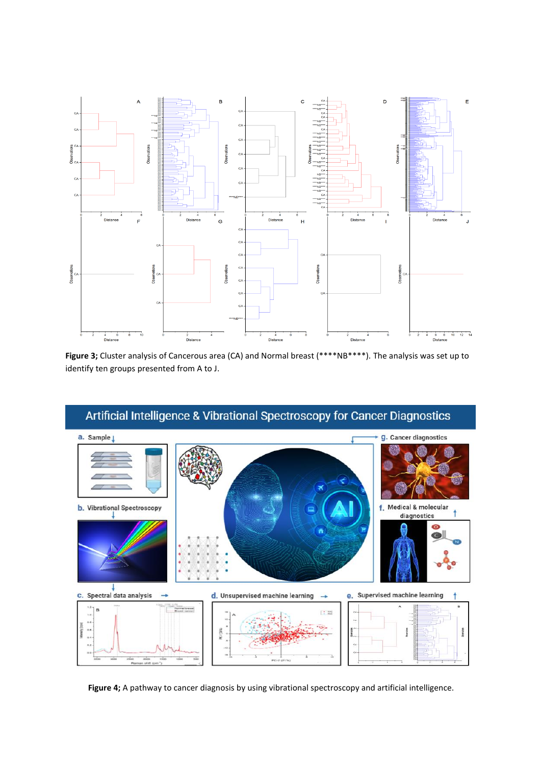

**Figure 3;** Cluster analysis of Cancerous area (CA) and Normal breast (\*\*\*\*NB\*\*\*\*). The analysis was set up to identify ten groups presented from A to J.



Figure 4; A pathway to cancer diagnosis by using vibrational spectroscopy and artificial intelligence.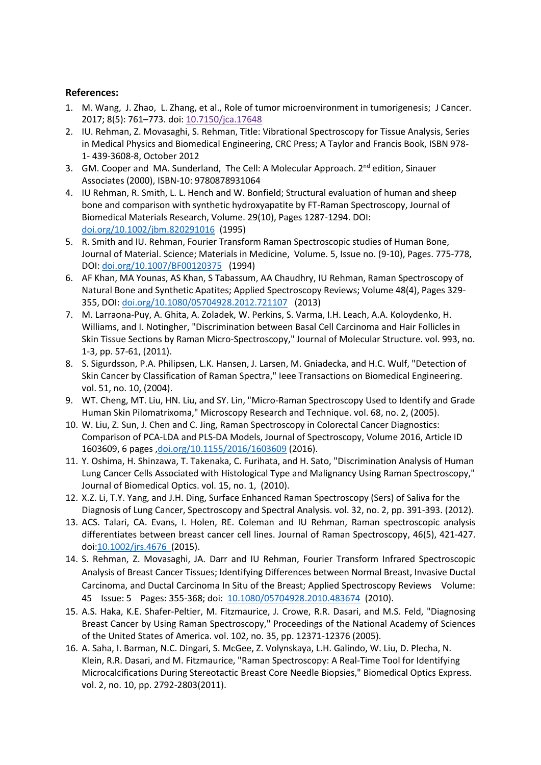#### **References:**

- 1. M. Wang, J. Zhao, L. Zhang, et al., Role of tumor microenvironment in tumorigenesis; J Cancer. 2017; 8(5): 761–773. doi: [10.7150/jca.17648](https://dx.doi.org/10.7150%2Fjca.17648)
- 2. IU. Rehman, Z. Movasaghi, S. Rehman, Title: Vibrational Spectroscopy for Tissue Analysis, Series in Medical Physics and Biomedical Engineering, CRC Press; A Taylor and Francis Book, ISBN 978- 1- 439-3608-8, October 2012
- 3. GM. Cooper and MA. Sunderland, The Cell: A Molecular Approach. 2<sup>nd</sup> edition, Sinauer Associates (2000), ISBN-10: 9780878931064
- 4. IU Rehman, R. Smith, L. L. Hench and W. Bonfield; Structural evaluation of human and sheep bone and comparison with synthetic hydroxyapatite by FT-Raman Spectroscopy, Journal of Biomedical Materials Research, Volume. 29(10), Pages 1287-1294. DOI: [doi.org/10.1002/jbm.820291016](http://dx.doi.org/10.1002/jbm.820291016) (1995)
- 5. R. Smith and IU. Rehman, Fourier Transform Raman Spectroscopic studies of Human Bone, Journal of Material. Science; Materials in Medicine, Volume. 5, Issue no. (9-10), Pages. 775-778, DOI: [doi.org/10.1007/BF00120375](http://dx.doi.org/10.1007/BF00120375) (1994)
- 6. AF Khan, MA Younas, AS Khan, S Tabassum, AA Chaudhry, IU Rehman, Raman Spectroscopy of Natural Bone and Synthetic Apatites; Applied Spectroscopy Reviews; Volume 48(4), Pages 329- 355, DOI: [doi.org/10.1080/05704928.2012.721107](http://dx.doi.org/10.1080/05704928.2012.721107) (2013)
- 7. M. Larraona-Puy, A. Ghita, A. Zoladek, W. Perkins, S. Varma, I.H. Leach, A.A. Koloydenko, H. Williams, and I. Notingher, "Discrimination between Basal Cell Carcinoma and Hair Follicles in Skin Tissue Sections by Raman Micro-Spectroscopy," Journal of Molecular Structure. vol. 993, no. 1-3, pp. 57-61, (2011).
- 8. S. Sigurdsson, P.A. Philipsen, L.K. Hansen, J. Larsen, M. Gniadecka, and H.C. Wulf, "Detection of Skin Cancer by Classification of Raman Spectra," Ieee Transactions on Biomedical Engineering. vol. 51, no. 10, (2004).
- 9. WT. Cheng, MT. Liu, HN. Liu, and SY. Lin, "Micro-Raman Spectroscopy Used to Identify and Grade Human Skin Pilomatrixoma," Microscopy Research and Technique. vol. 68, no. 2, (2005).
- 10. W. Liu, Z. Sun, J. Chen and C. Jing, Raman Spectroscopy in Colorectal Cancer Diagnostics: Comparison of PCA-LDA and PLS-DA Models, Journal of Spectroscopy, Volume 2016, Article ID 1603609, 6 pages [,doi.org/10.1155/2016/1603609](http://dx.doi.org/10.1155/2016/1603609) (2016).
- 11. Y. Oshima, H. Shinzawa, T. Takenaka, C. Furihata, and H. Sato, "Discrimination Analysis of Human Lung Cancer Cells Associated with Histological Type and Malignancy Using Raman Spectroscopy," Journal of Biomedical Optics. vol. 15, no. 1, (2010).
- 12. X.Z. Li, T.Y. Yang, and J.H. Ding, Surface Enhanced Raman Spectroscopy (Sers) of Saliva for the Diagnosis of Lung Cancer, Spectroscopy and Spectral Analysis. vol. 32, no. 2, pp. 391-393. (2012).
- 13. ACS. Talari, CA. Evans, I. Holen, RE. Coleman and IU Rehman, Raman spectroscopic analysis differentiates between breast cancer cell lines. Journal of Raman Spectroscopy, 46(5), 421-427. doi[:10.1002/jrs.4676](http://dx.doi.org/10.1002/jrs.4676) (2015).
- 14. S. Rehman, Z. Movasaghi, JA. Darr and IU Rehman, Fourier Transform Infrared Spectroscopic Analysis of Breast Cancer Tissues; Identifying Differences between Normal Breast, Invasive Ductal Carcinoma, and Ductal Carcinoma In Situ of the Breast; Applied Spectroscopy Reviews Volume: 45 Issue: 5 Pages: 355-368; doi: [10.1080/05704928.2010.483674](http://dx.doi.org/10.1080/05704928.2010.483674) (2010).
- 15. A.S. Haka, K.E. Shafer-Peltier, M. Fitzmaurice, J. Crowe, R.R. Dasari, and M.S. Feld, "Diagnosing Breast Cancer by Using Raman Spectroscopy," Proceedings of the National Academy of Sciences of the United States of America. vol. 102, no. 35, pp. 12371-12376 (2005).
- 16. A. Saha, I. Barman, N.C. Dingari, S. McGee, Z. Volynskaya, L.H. Galindo, W. Liu, D. Plecha, N. Klein, R.R. Dasari, and M. Fitzmaurice, "Raman Spectroscopy: A Real-Time Tool for Identifying Microcalcifications During Stereotactic Breast Core Needle Biopsies," Biomedical Optics Express. vol. 2, no. 10, pp. 2792-2803(2011).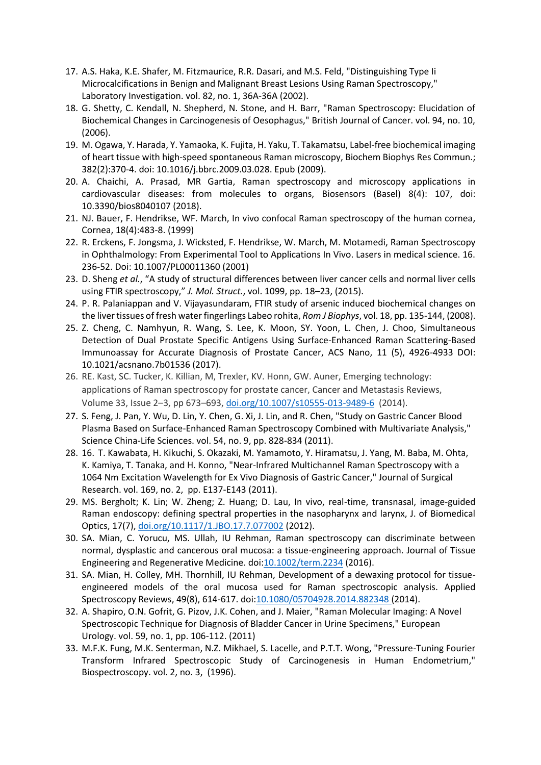- 17. A.S. Haka, K.E. Shafer, M. Fitzmaurice, R.R. Dasari, and M.S. Feld, "Distinguishing Type Ii Microcalcifications in Benign and Malignant Breast Lesions Using Raman Spectroscopy," Laboratory Investigation. vol. 82, no. 1, 36A-36A (2002).
- 18. G. Shetty, C. Kendall, N. Shepherd, N. Stone, and H. Barr, "Raman Spectroscopy: Elucidation of Biochemical Changes in Carcinogenesis of Oesophagus," British Journal of Cancer. vol. 94, no. 10, (2006).
- 19. M. Ogawa, Y. Harada, Y. Yamaoka, K. Fujita, H. Yaku, T. Takamatsu, Label-free biochemical imaging of heart tissue with high-speed spontaneous Raman microscopy, Biochem Biophys Res Commun.; 382(2):370-4. doi: 10.1016/j.bbrc.2009.03.028. Epub (2009).
- 20. A. Chaichi, A. Prasad, MR Gartia, Raman spectroscopy and microscopy applications in cardiovascular diseases: from molecules to organs, Biosensors (Basel) 8(4): 107, doi: 10.3390/bios8040107 (2018).
- 21. NJ. Bauer, F. Hendrikse, WF. March, In vivo confocal Raman spectroscopy of the human cornea, Cornea, 18(4):483-8. (1999)
- 22. R. Erckens, F. Jongsma, J. Wicksted, F. Hendrikse, W. March, M. Motamedi, Raman Spectroscopy in Ophthalmology: From Experimental Tool to Applications In Vivo. Lasers in medical science. 16. 236-52. Doi: 10.1007/PL00011360 (2001)
- 23. D. Sheng *et al.*, "A study of structural differences between liver cancer cells and normal liver cells using FTIR spectroscopy," *J. Mol. Struct.*, vol. 1099, pp. 18–23, (2015).
- 24. P. R. Palaniappan and V. Vijayasundaram, FTIR study of arsenic induced biochemical changes on the liver tissues of fresh water fingerlings Labeo rohita, *Rom J Biophys*, vol. 18, pp. 135-144, (2008).
- 25. Z. Cheng, C. Namhyun, R. Wang, S. Lee, K. Moon, SY. Yoon, L. Chen, J. Choo, Simultaneous Detection of Dual Prostate Specific Antigens Using Surface-Enhanced Raman Scattering-Based Immunoassay for Accurate Diagnosis of Prostate Cancer, ACS Nano, 11 (5), 4926-4933 DOI: 10.1021/acsnano.7b01536 (2017).
- 26. RE. Kast, SC. Tucker, K. Killian, M, Trexler, KV. Honn, GW. Auner, Emerging technology: applications of Raman spectroscopy for prostate cancer, Cancer and Metastasis Reviews, Volume 33, Issue 2–3, pp 673–693[, doi.org/10.1007/s10555-013-9489-6](https://doi.org/10.1007/s10555-013-9489-6) (2014).
- 27. S. Feng, J. Pan, Y. Wu, D. Lin, Y. Chen, G. Xi, J. Lin, and R. Chen, "Study on Gastric Cancer Blood Plasma Based on Surface-Enhanced Raman Spectroscopy Combined with Multivariate Analysis," Science China-Life Sciences. vol. 54, no. 9, pp. 828-834 (2011).
- 28. 16. T. Kawabata, H. Kikuchi, S. Okazaki, M. Yamamoto, Y. Hiramatsu, J. Yang, M. Baba, M. Ohta, K. Kamiya, T. Tanaka, and H. Konno, "Near-Infrared Multichannel Raman Spectroscopy with a 1064 Nm Excitation Wavelength for Ex Vivo Diagnosis of Gastric Cancer," Journal of Surgical Research. vol. 169, no. 2, pp. E137-E143 (2011).
- 29. MS. Bergholt; K. Lin; W. Zheng; Z. Huang; D. Lau, In vivo, real-time, transnasal, image-guided Raman endoscopy: defining spectral properties in the nasopharynx and larynx, J. of Biomedical Optics, 17(7), [doi.org/10.1117/1.JBO.17.7.077002](https://doi.org/10.1117/1.JBO.17.7.077002) (2012).
- 30. SA. Mian, C. Yorucu, MS. Ullah, IU Rehman, Raman spectroscopy can discriminate between normal, dysplastic and cancerous oral mucosa: a tissue-engineering approach. Journal of Tissue Engineering and Regenerative Medicine. doi[:10.1002/term.2234](http://dx.doi.org/10.1002/term.2234) (2016).
- 31. SA. Mian, H. Colley, MH. Thornhill, IU Rehman, Development of a dewaxing protocol for tissueengineered models of the oral mucosa used for Raman spectroscopic analysis. Applied Spectroscopy Reviews, 49(8), 614-617. doi[:10.1080/05704928.2014.882348](http://dx.doi.org/10.1080/05704928.2014.882348) (2014).
- 32. A. Shapiro, O.N. Gofrit, G. Pizov, J.K. Cohen, and J. Maier, "Raman Molecular Imaging: A Novel Spectroscopic Technique for Diagnosis of Bladder Cancer in Urine Specimens," European Urology. vol. 59, no. 1, pp. 106-112. (2011)
- 33. M.F.K. Fung, M.K. Senterman, N.Z. Mikhael, S. Lacelle, and P.T.T. Wong, "Pressure-Tuning Fourier Transform Infrared Spectroscopic Study of Carcinogenesis in Human Endometrium," Biospectroscopy. vol. 2, no. 3, (1996).